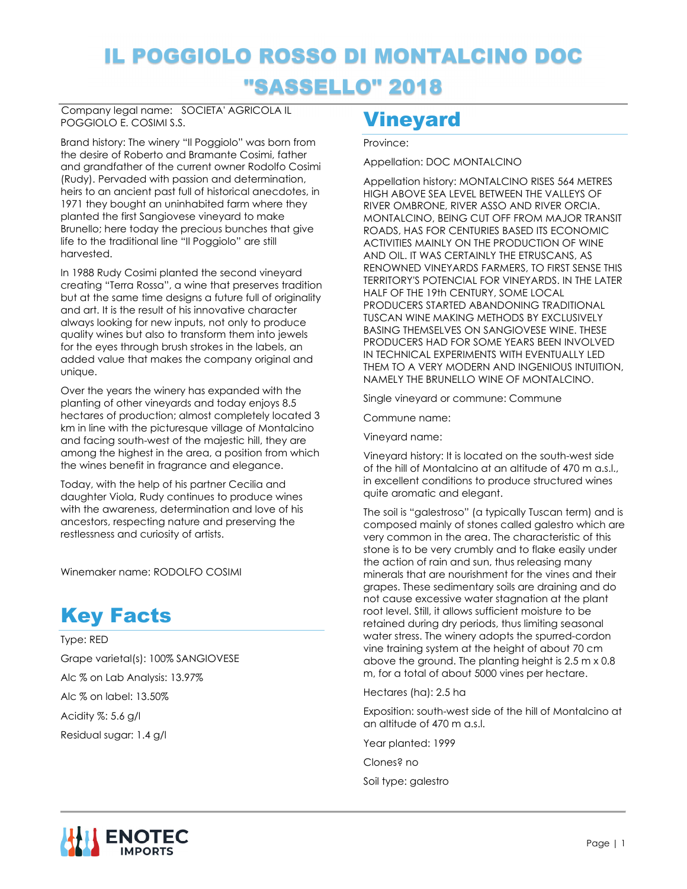# IL POGGIOLO ROSSO DI MONTALCINO DOC "SASSELLO" 2018

Company legal name: SOCIETA' AGRICOLA IL POGGIOLO E. COSIMI S.S.

Brand history: The winery "Il Poggiolo" was born from the desire of Roberto and Bramante Cosimi, father and grandfather of the current owner Rodolfo Cosimi (Rudy). Pervaded with passion and determination, heirs to an ancient past full of historical anecdotes, in 1971 they bought an uninhabited farm where they planted the first Sangiovese vineyard to make Brunello; here today the precious bunches that give life to the traditional line "Il Poggiolo" are still harvested.

In 1988 Rudy Cosimi planted the second vineyard creating "Terra Rossa", a wine that preserves tradition but at the same time designs a future full of originality and art. It is the result of his innovative character always looking for new inputs, not only to produce quality wines but also to transform them into jewels for the eyes through brush strokes in the labels, an added value that makes the company original and unique.

Over the years the winery has expanded with the planting of other vineyards and today enjoys 8.5 hectares of production; almost completely located 3 km in line with the picturesque village of Montalcino and facing south-west of the majestic hill, they are among the highest in the area, a position from which the wines benefit in fragrance and elegance.

Today, with the help of his partner Cecilia and daughter Viola, Rudy continues to produce wines with the awareness, determination and love of his ancestors, respecting nature and preserving the restlessness and curiosity of artists.

Winemaker name: RODOLFO COSIMI

## Key Facts

Type: RED Grape varietal(s): 100% SANGIOVESE Alc % on Lab Analysis: 13.97% Alc % on label: 13.50% Acidity %: 5.6 g/l Residual sugar: 1.4 g/l

### Vineyard

#### Province:

Appellation: DOC MONTALCINO

Appellation history: MONTALCINO RISES 564 METRES HIGH ABOVE SEA LEVEL BETWEEN THE VALLEYS OF RIVER OMBRONE, RIVER ASSO AND RIVER ORCIA. MONTALCINO, BEING CUT OFF FROM MAJOR TRANSIT ROADS, HAS FOR CENTURIES BASED ITS ECONOMIC ACTIVITIES MAINLY ON THE PRODUCTION OF WINE AND OIL. IT WAS CERTAINLY THE ETRUSCANS, AS RENOWNED VINEYARDS FARMERS, TO FIRST SENSE THIS TERRITORY'S POTENCIAL FOR VINEYARDS. IN THE LATER HALF OF THE 19th CENTURY, SOME LOCAL PRODUCERS STARTED ABANDONING TRADITIONAL TUSCAN WINE MAKING METHODS BY EXCLUSIVELY BASING THEMSELVES ON SANGIOVESE WINE. THESE PRODUCERS HAD FOR SOME YEARS BEEN INVOLVED IN TECHNICAL EXPERIMENTS WITH EVENTUALLY LED THEM TO A VERY MODERN AND INGENIOUS INTUITION, NAMELY THE BRUNELLO WINE OF MONTALCINO.

Single vineyard or commune: Commune

Commune name:

Vineyard name:

Vineyard history: It is located on the south-west side of the hill of Montalcino at an altitude of 470 m a.s.l., in excellent conditions to produce structured wines quite aromatic and elegant.

The soil is "galestroso" (a typically Tuscan term) and is composed mainly of stones called galestro which are very common in the area. The characteristic of this stone is to be very crumbly and to flake easily under the action of rain and sun, thus releasing many minerals that are nourishment for the vines and their grapes. These sedimentary soils are draining and do not cause excessive water stagnation at the plant root level. Still, it allows sufficient moisture to be retained during dry periods, thus limiting seasonal water stress. The winery adopts the spurred-cordon vine training system at the height of about 70 cm above the ground. The planting height is 2.5 m x 0.8 m, for a total of about 5000 vines per hectare.

Hectares (ha): 2.5 ha

Exposition: south-west side of the hill of Montalcino at an altitude of 470 m a.s.l.

Year planted: 1999

Clones? no

Soil type: galestro

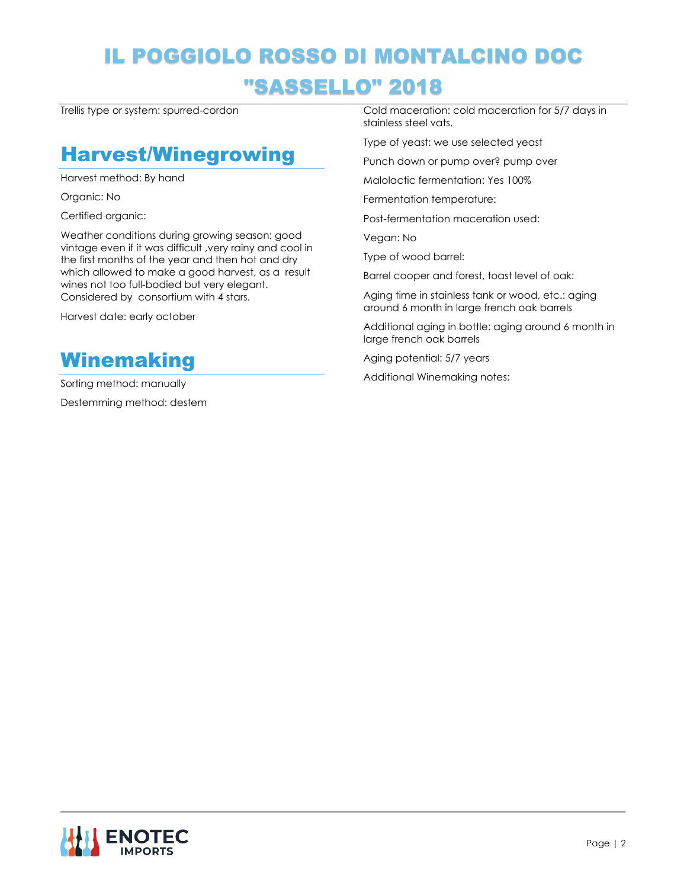# IL POGGIOLO ROSSO DI MONTALCINO DOC "SASSELLO" 2018

Trellis type or system: spurred-cordon

#### Harvest/Winegrowing

Harvest method: By hand

Organic: No

Certified organic:

Weather conditions during growing season: good vintage even if it was difficult ,very rainy and cool in the first months of the year and then hot and dry which allowed to make a good harvest, as a result wines not too full-bodied but very elegant. Considered by consortium with 4 stars.

Harvest date: early october



Sorting method: manually Destemming method: destem

Cold maceration: cold maceration for 5/7 days in stainless steel vats.

Type of yeast: we use selected yeast

Punch down or pump over? pump over

Malolactic fermentation: Yes 100%

Fermentation temperature:

Post-fermentation maceration used:

Vegan: No

Type of wood barrel:

Barrel cooper and forest, toast level of oak:

Aging time in stainless tank or wood, etc.: aging around 6 month in large french oak barrels

Additional aging in bottle: aging around 6 month in large french oak barrels

Aging potential: 5/7 years

Additional Winemaking notes: